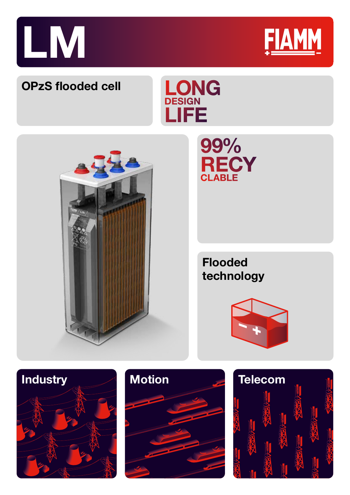



Technology

# **OPzS flooded cell**





# 99% **RECY**

**Flooded technology**